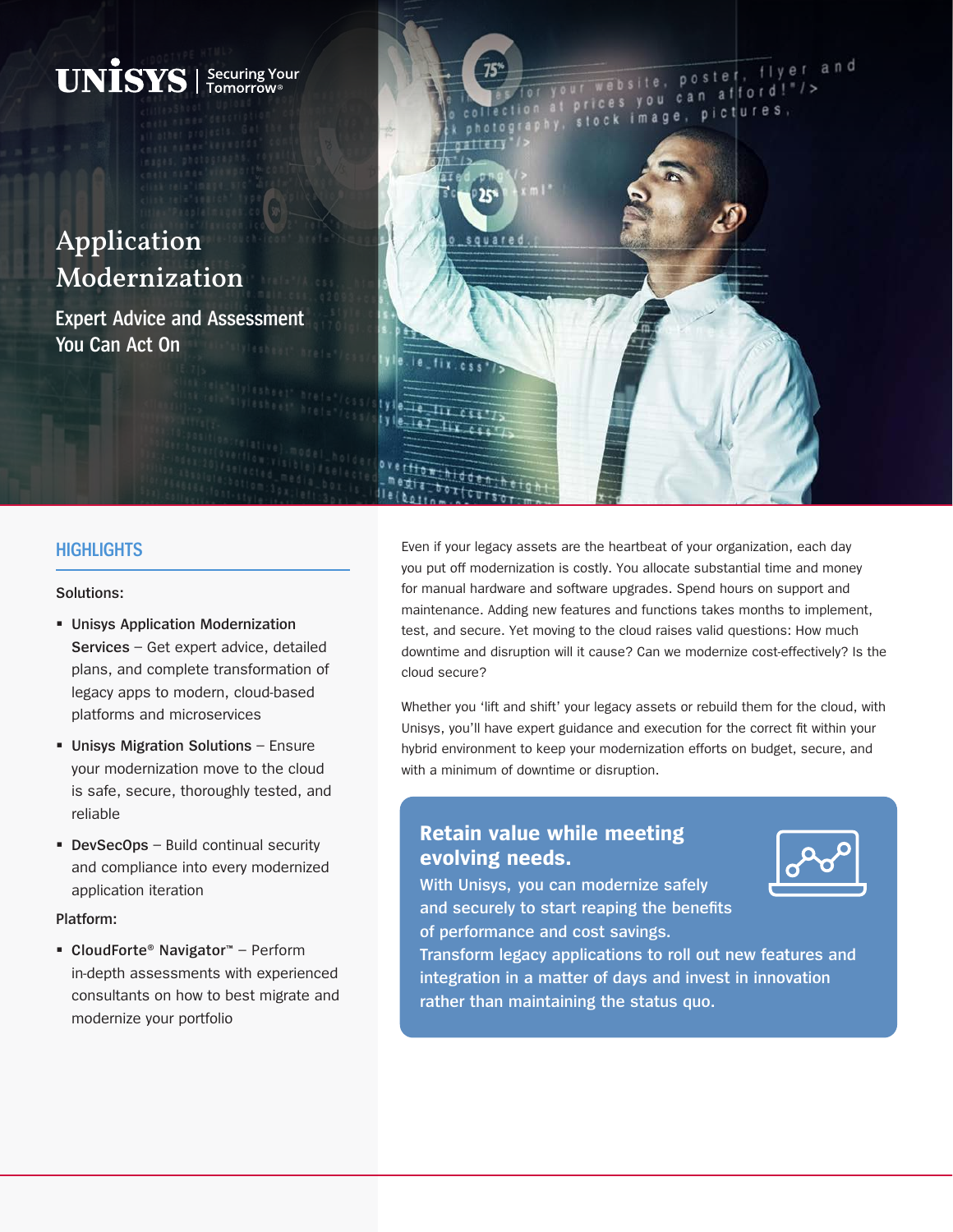

## **HIGHLIGHTS**

#### **Solutions:**

- **Unisys Application Modernization Services** – Get expert advice, detailed plans, and complete transformation of legacy apps to modern, cloud-based platforms and microservices
- **Unisys Migration Solutions** Ensure your modernization move to the cloud is safe, secure, thoroughly tested, and reliable
- **DevSecOps** Build continual security and compliance into every modernized application iteration

#### **Platform:**

 **CloudForte® Navigator™** – Perform in-depth assessments with experienced consultants on how to best migrate and modernize your portfolio

Even if your legacy assets are the heartbeat of your organization, each day you put off modernization is costly. You allocate substantial time and money for manual hardware and software upgrades. Spend hours on support and maintenance. Adding new features and functions takes months to implement, test, and secure. Yet moving to the cloud raises valid questions: How much downtime and disruption will it cause? Can we modernize cost-effectively? Is the cloud secure?

Whether you 'lift and shift' your legacy assets or rebuild them for the cloud, with Unisys, you'll have expert guidance and execution for the correct fit within your hybrid environment to keep your modernization efforts on budget, secure, and with a minimum of downtime or disruption.

# **Retain value while meeting evolving needs.**



**With Unisys, you can modernize safely and securely to start reaping the benefits of performance and cost savings.** 

**Transform legacy applications to roll out new features and integration in a matter of days and invest in innovation rather than maintaining the status quo.**